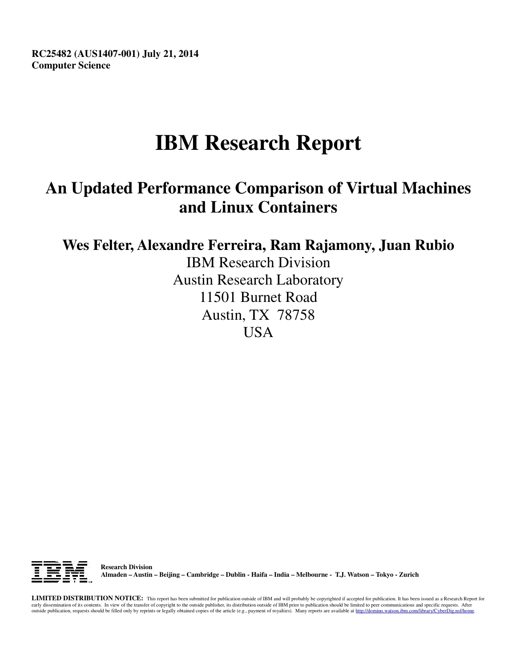**RC25482 (AUS1407-001) July 21, 2014 Computer Science**

# **IBM Research Report**

## **An Updated Performance Comparison of Virtual Machines and Linux Containers**

### **Wes Felter, Alexandre Ferreira, Ram Rajamony, Juan Rubio**

IBM Research Division Austin Research Laboratory 11501 Burnet Road Austin, TX 78758 USA

**Research Division Almaden – Austin – Beijing – Cambridge – Dublin - Haifa – India – Melbourne - T.J. Watson – Tokyo - Zurich**

**LIMITED DISTRIBUTION NOTICE:** This report has been submitted for publication outside of IBM and will probably be copyrighted if accepted for publication. It has been issued as a Research Report for early dissemination of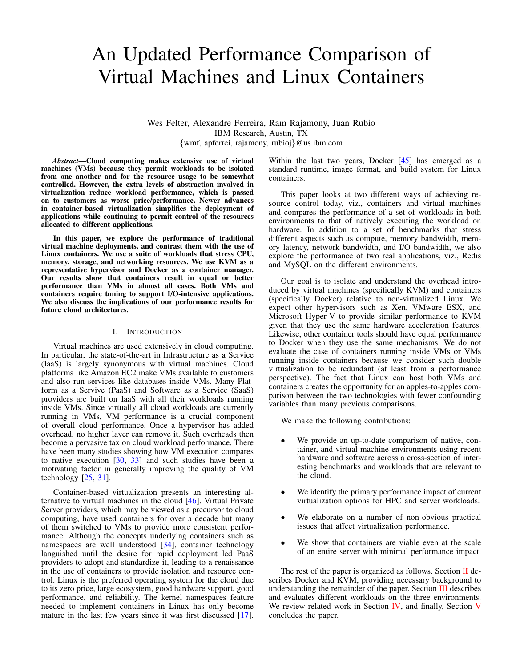# An Updated Performance Comparison of Virtual Machines and Linux Containers

Wes Felter, Alexandre Ferreira, Ram Rajamony, Juan Rubio IBM Research, Austin, TX {wmf, apferrei, rajamony, rubioj}@us.ibm.com

*Abstract*—Cloud computing makes extensive use of virtual machines (VMs) because they permit workloads to be isolated from one another and for the resource usage to be somewhat controlled. However, the extra levels of abstraction involved in virtualization reduce workload performance, which is passed on to customers as worse price/performance. Newer advances in container-based virtualization simplifies the deployment of applications while continuing to permit control of the resources allocated to different applications.

In this paper, we explore the performance of traditional virtual machine deployments, and contrast them with the use of Linux containers. We use a suite of workloads that stress CPU, memory, storage, and networking resources. We use KVM as a representative hypervisor and Docker as a container manager. Our results show that containers result in equal or better performance than VMs in almost all cases. Both VMs and containers require tuning to support I/O-intensive applications. We also discuss the implications of our performance results for future cloud architectures.

#### I. INTRODUCTION

Virtual machines are used extensively in cloud computing. In particular, the state-of-the-art in Infrastructure as a Service (IaaS) is largely synonymous with virtual machines. Cloud platforms like Amazon EC2 make VMs available to customers and also run services like databases inside VMs. Many Platform as a Servive (PaaS) and Software as a Service (SaaS) providers are built on IaaS with all their workloads running inside VMs. Since virtually all cloud workloads are currently running in VMs, VM performance is a crucial component of overall cloud performance. Once a hypervisor has added overhead, no higher layer can remove it. Such overheads then become a pervasive tax on cloud workload performance. There have been many studies showing how VM execution compares to native execution [\[30,](#page-10-0) [33\]](#page-10-1) and such studies have been a motivating factor in generally improving the quality of VM technology  $[25, 31]$  $[25, 31]$ .

Container-based virtualization presents an interesting alternative to virtual machines in the cloud [\[46\]](#page-11-0). Virtual Private Server providers, which may be viewed as a precursor to cloud computing, have used containers for over a decade but many of them switched to VMs to provide more consistent performance. Although the concepts underlying containers such as namespaces are well understood [\[34\]](#page-10-4), container technology languished until the desire for rapid deployment led PaaS providers to adopt and standardize it, leading to a renaissance in the use of containers to provide isolation and resource control. Linux is the preferred operating system for the cloud due to its zero price, large ecosystem, good hardware support, good performance, and reliability. The kernel namespaces feature needed to implement containers in Linux has only become mature in the last few years since it was first discussed [\[17\]](#page-10-5). Within the last two years, Docker  $[45]$  has emerged as a standard runtime, image format, and build system for Linux containers.

This paper looks at two different ways of achieving resource control today, viz., containers and virtual machines and compares the performance of a set of workloads in both environments to that of natively executing the workload on hardware. In addition to a set of benchmarks that stress different aspects such as compute, memory bandwidth, memory latency, network bandwidth, and I/O bandwidth, we also explore the performance of two real applications, viz., Redis and MySQL on the different environments.

Our goal is to isolate and understand the overhead introduced by virtual machines (specifically KVM) and containers (specifically Docker) relative to non-virtualized Linux. We expect other hypervisors such as Xen, VMware ESX, and Microsoft Hyper-V to provide similar performance to KVM given that they use the same hardware acceleration features. Likewise, other container tools should have equal performance to Docker when they use the same mechanisms. We do not evaluate the case of containers running inside VMs or VMs running inside containers because we consider such double virtualization to be redundant (at least from a performance perspective). The fact that Linux can host both VMs and containers creates the opportunity for an apples-to-apples comparison between the two technologies with fewer confounding variables than many previous comparisons.

We make the following contributions:

- We provide an up-to-date comparison of native, container, and virtual machine environments using recent hardware and software across a cross-section of interesting benchmarks and workloads that are relevant to the cloud.
- We identify the primary performance impact of current virtualization options for HPC and server workloads.
- We elaborate on a number of non-obvious practical issues that affect virtualization performance.
- We show that containers are viable even at the scale of an entire server with minimal performance impact.

The rest of the paper is organized as follows. Section  $\Pi$  describes Docker and KVM, providing necessary background to understanding the remainder of the paper. Section [III](#page-3-0) describes and evaluates different workloads on the three environments. We review related work in Section [IV,](#page-9-0) and finally, Section [V](#page-9-1) concludes the paper.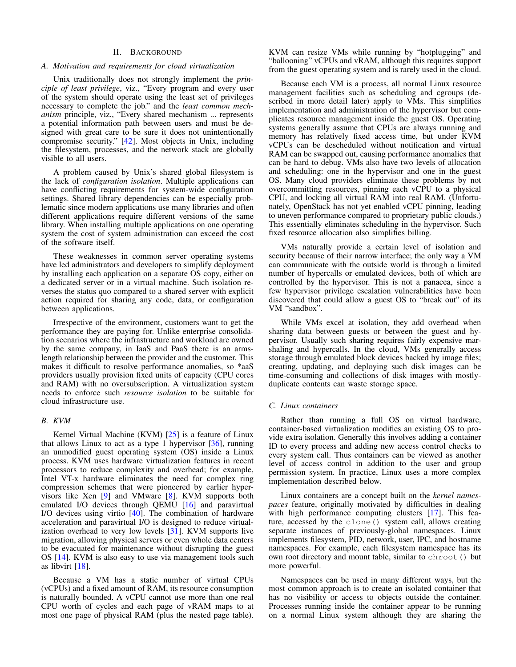#### II. BACKGROUND

#### <span id="page-2-0"></span>*A. Motivation and requirements for cloud virtualization*

Unix traditionally does not strongly implement the *principle of least privilege*, viz., "Every program and every user of the system should operate using the least set of privileges necessary to complete the job." and the *least common mechanism* principle, viz., "Every shared mechanism ... represents a potential information path between users and must be designed with great care to be sure it does not unintentionally compromise security." [\[42\]](#page-11-2). Most objects in Unix, including the filesystem, processes, and the network stack are globally visible to all users.

A problem caused by Unix's shared global filesystem is the lack of *configuration isolation*. Multiple applications can have conflicting requirements for system-wide configuration settings. Shared library dependencies can be especially problematic since modern applications use many libraries and often different applications require different versions of the same library. When installing multiple applications on one operating system the cost of system administration can exceed the cost of the software itself.

These weaknesses in common server operating systems have led administrators and developers to simplify deployment by installing each application on a separate OS copy, either on a dedicated server or in a virtual machine. Such isolation reverses the status quo compared to a shared server with explicit action required for sharing any code, data, or configuration between applications.

Irrespective of the environment, customers want to get the performance they are paying for. Unlike enterprise consolidation scenarios where the infrastructure and workload are owned by the same company, in IaaS and PaaS there is an armslength relationship between the provider and the customer. This makes it difficult to resolve performance anomalies, so \*aaS providers usually provision fixed units of capacity (CPU cores and RAM) with no oversubscription. A virtualization system needs to enforce such *resource isolation* to be suitable for cloud infrastructure use.

#### *B. KVM*

Kernel Virtual Machine (KVM) [\[25\]](#page-10-2) is a feature of Linux that allows Linux to act as a type 1 hypervisor  $[36]$ , running an unmodified guest operating system (OS) inside a Linux process. KVM uses hardware virtualization features in recent processors to reduce complexity and overhead; for example, Intel VT-x hardware eliminates the need for complex ring compression schemes that were pioneered by earlier hypervisors like Xen [\[9\]](#page-10-7) and VMware [\[8\]](#page-10-8). KVM supports both emulated I/O devices through QEMU [\[16\]](#page-10-9) and paravirtual I/O devices using virtio  $[40]$ . The combination of hardware acceleration and paravirtual I/O is designed to reduce virtualization overhead to very low levels [\[31\]](#page-10-3). KVM supports live migration, allowing physical servers or even whole data centers to be evacuated for maintenance without disrupting the guest OS [\[14\]](#page-10-11). KVM is also easy to use via management tools such as libvirt  $[18]$ .

Because a VM has a static number of virtual CPUs (vCPUs) and a fixed amount of RAM, its resource consumption is naturally bounded. A vCPU cannot use more than one real CPU worth of cycles and each page of vRAM maps to at most one page of physical RAM (plus the nested page table).

KVM can resize VMs while running by "hotplugging" and "ballooning" vCPUs and vRAM, although this requires support from the guest operating system and is rarely used in the cloud.

Because each VM is a process, all normal Linux resource management facilities such as scheduling and cgroups (described in more detail later) apply to VMs. This simplifies implementation and administration of the hypervisor but complicates resource management inside the guest OS. Operating systems generally assume that CPUs are always running and memory has relatively fixed access time, but under KVM vCPUs can be descheduled without notification and virtual RAM can be swapped out, causing performance anomalies that can be hard to debug. VMs also have two levels of allocation and scheduling: one in the hypervisor and one in the guest OS. Many cloud providers eliminate these problems by not overcommitting resources, pinning each vCPU to a physical CPU, and locking all virtual RAM into real RAM. (Unfortunately, OpenStack has not yet enabled vCPU pinning, leading to uneven performance compared to proprietary public clouds.) This essentially eliminates scheduling in the hypervisor. Such fixed resource allocation also simplifies billing.

VMs naturally provide a certain level of isolation and security because of their narrow interface; the only way a VM can communicate with the outside world is through a limited number of hypercalls or emulated devices, both of which are controlled by the hypervisor. This is not a panacea, since a few hypervisor privilege escalation vulnerabilities have been discovered that could allow a guest OS to "break out" of its VM "sandbox".

While VMs excel at isolation, they add overhead when sharing data between guests or between the guest and hypervisor. Usually such sharing requires fairly expensive marshaling and hypercalls. In the cloud, VMs generally access storage through emulated block devices backed by image files; creating, updating, and deploying such disk images can be time-consuming and collections of disk images with mostlyduplicate contents can waste storage space.

#### *C. Linux containers*

Rather than running a full OS on virtual hardware, container-based virtualization modifies an existing OS to provide extra isolation. Generally this involves adding a container ID to every process and adding new access control checks to every system call. Thus containers can be viewed as another level of access control in addition to the user and group permission system. In practice, Linux uses a more complex implementation described below.

Linux containers are a concept built on the *kernel namespaces* feature, originally motivated by difficulties in dealing with high performance computing clusters [\[17\]](#page-10-5). This feature, accessed by the clone() system call, allows creating separate instances of previously-global namespaces. Linux implements filesystem, PID, network, user, IPC, and hostname namespaces. For example, each filesystem namespace has its own root directory and mount table, similar to chroot() but more powerful.

Namespaces can be used in many different ways, but the most common approach is to create an isolated container that has no visibility or access to objects outside the container. Processes running inside the container appear to be running on a normal Linux system although they are sharing the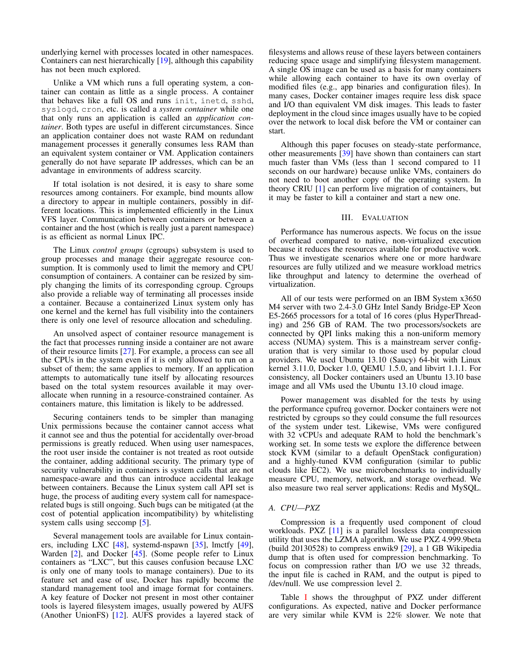underlying kernel with processes located in other namespaces. Containers can nest hierarchically [\[19\]](#page-10-13), although this capability has not been much explored.

Unlike a VM which runs a full operating system, a container can contain as little as a single process. A container that behaves like a full OS and runs init, inetd, sshd, syslogd, cron, etc. is called a *system container* while one that only runs an application is called an *application container*. Both types are useful in different circumstances. Since an application container does not waste RAM on redundant management processes it generally consumes less RAM than an equivalent system container or VM. Application containers generally do not have separate IP addresses, which can be an advantage in environments of address scarcity.

If total isolation is not desired, it is easy to share some resources among containers. For example, bind mounts allow a directory to appear in multiple containers, possibly in different locations. This is implemented efficiently in the Linux VFS layer. Communication between containers or between a container and the host (which is really just a parent namespace) is as efficient as normal Linux IPC.

The Linux *control groups* (cgroups) subsystem is used to group processes and manage their aggregate resource consumption. It is commonly used to limit the memory and CPU consumption of containers. A container can be resized by simply changing the limits of its corresponding cgroup. Cgroups also provide a reliable way of terminating all processes inside a container. Because a containerized Linux system only has one kernel and the kernel has full visibility into the containers there is only one level of resource allocation and scheduling.

An unsolved aspect of container resource management is the fact that processes running inside a container are not aware of their resource limits [\[27\]](#page-10-14). For example, a process can see all the CPUs in the system even if it is only allowed to run on a subset of them; the same applies to memory. If an application attempts to automatically tune itself by allocating resources based on the total system resources available it may overallocate when running in a resource-constrained container. As containers mature, this limitation is likely to be addressed.

Securing containers tends to be simpler than managing Unix permissions because the container cannot access what it cannot see and thus the potential for accidentally over-broad permissions is greatly reduced. When using user namespaces, the root user inside the container is not treated as root outside the container, adding additional security. The primary type of security vulnerability in containers is system calls that are not namespace-aware and thus can introduce accidental leakage between containers. Because the Linux system call API set is huge, the process of auditing every system call for namespacerelated bugs is still ongoing. Such bugs can be mitigated (at the cost of potential application incompatibility) by whitelisting system calls using seccomp [\[5\]](#page-10-15).

Several management tools are available for Linux containers, including LXC [\[48\]](#page-11-3), systemd-nspawn [\[35\]](#page-10-16), lmctfy [\[49\]](#page-11-4), Warden [\[2\]](#page-10-17), and Docker [\[45\]](#page-11-1). (Some people refer to Linux containers as "LXC", but this causes confusion because LXC is only one of many tools to manage containers). Due to its feature set and ease of use, Docker has rapidly become the standard management tool and image format for containers. A key feature of Docker not present in most other container tools is layered filesystem images, usually powered by AUFS (Another UnionFS) [\[12\]](#page-10-18). AUFS provides a layered stack of filesystems and allows reuse of these layers between containers reducing space usage and simplifying filesystem management. A single OS image can be used as a basis for many containers while allowing each container to have its own overlay of modified files (e.g., app binaries and configuration files). In many cases, Docker container images require less disk space and I/O than equivalent VM disk images. This leads to faster deployment in the cloud since images usually have to be copied over the network to local disk before the VM or container can start.

Although this paper focuses on steady-state performance, other measurements [\[39\]](#page-10-19) have shown than containers can start much faster than VMs (less than 1 second compared to 11 seconds on our hardware) because unlike VMs, containers do not need to boot another copy of the operating system. In theory CRIU [\[1\]](#page-10-20) can perform live migration of containers, but it may be faster to kill a container and start a new one.

#### III. EVALUATION

<span id="page-3-0"></span>Performance has numerous aspects. We focus on the issue of overhead compared to native, non-virtualized execution because it reduces the resources available for productive work. Thus we investigate scenarios where one or more hardware resources are fully utilized and we measure workload metrics like throughput and latency to determine the overhead of virtualization.

All of our tests were performed on an IBM System x3650 M4 server with two 2.4-3.0 GHz Intel Sandy Bridge-EP Xeon E5-2665 processors for a total of 16 cores (plus HyperThreading) and 256 GB of RAM. The two processors/sockets are connected by QPI links making this a non-uniform memory access (NUMA) system. This is a mainstream server configuration that is very similar to those used by popular cloud providers. We used Ubuntu 13.10 (Saucy) 64-bit with Linux kernel 3.11.0, Docker 1.0, QEMU 1.5.0, and libvirt 1.1.1. For consistency, all Docker containers used an Ubuntu 13.10 base image and all VMs used the Ubuntu 13.10 cloud image.

Power management was disabled for the tests by using the performance cpufreq governor. Docker containers were not restricted by cgroups so they could consume the full resources of the system under test. Likewise, VMs were configured with 32 vCPUs and adequate RAM to hold the benchmark's working set. In some tests we explore the difference between stock KVM (similar to a default OpenStack configuration) and a highly-tuned KVM configuration (similar to public clouds like EC2). We use microbenchmarks to individually measure CPU, memory, network, and storage overhead. We also measure two real server applications: Redis and MySQL.

#### *A. CPU—PXZ*

Compression is a frequently used component of cloud workloads. PXZ [\[11\]](#page-10-21) is a parallel lossless data compression utility that uses the LZMA algorithm. We use PXZ 4.999.9beta (build 20130528) to compress enwik9 [\[29\]](#page-10-22), a 1 GB Wikipedia dump that is often used for compression benchmarking. To focus on compression rather than I/O we use 32 threads, the input file is cached in RAM, and the output is piped to /dev/null. We use compression level 2.

Table [I](#page-4-0) shows the throughput of PXZ under different configurations. As expected, native and Docker performance are very similar while KVM is 22% slower. We note that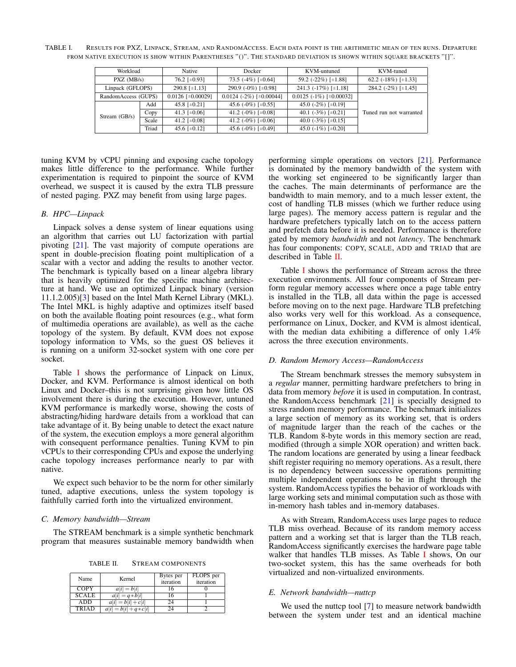<span id="page-4-0"></span>

| Workload            |       | Native                    | Docker                           | KVM-untuned                      | KVM-tuned                    |
|---------------------|-------|---------------------------|----------------------------------|----------------------------------|------------------------------|
| $PXZ$ (MB/s)        |       | 76.2 [ $\pm 0.93$ ]       | 73.5 $(-4%)$ $[\pm 0.64]$        | 59.2 $(-22\%)$ [ $\pm$ 1.88]     | 62.2 (-18%) $[\pm 1.33]$     |
| Linpack (GFLOPS)    |       | 290.8 $[\pm 1.13]$        | 290.9 $(-0\%)$ [ $\pm$ 0.98]     | 241.3 $(-17%)$ $[\pm 1.18]$      | 284.2 $(-2\%)$ [ $\pm$ 1.45] |
| RandomAccess (GUPS) |       | $0.0126$ [ $\pm$ 0.00029] | $0.0124$ (-2%) [ $\pm 0.00044$ ] | $0.0125$ (-1%) [ $\pm 0.00032$ ] |                              |
| Stream $(GB/s)$     | Add   | 45.8 $[\pm 0.21]$         | 45.6 (-0%) [ $\pm$ 0.55]         | 45.0 $(-2\%)$ [ $\pm$ 0.19]      |                              |
|                     | Copy  | 41.3 $[\pm 0.06]$         | 41.2 (-0%) [ $\pm$ 0.08]         | 40.1 $(-3\%)$ [ $\pm$ 0.21]      | Tuned run not warranted      |
|                     | Scale | 41.2 $[\pm 0.08]$         | 41.2 (-0%) [ $\pm$ 0.06]         | 40.0 $(-3\%)$ $[\pm 0.15]$       |                              |
|                     | Triad | 45.6 $[\pm 0.12]$         | 45.6 (-0%) [ $\pm$ 0.49]         | 45.0 $(-1\%)$ $[\pm 0.20]$       |                              |

TABLE I. RESULTS FOR PXZ, LINPACK, STREAM, AND RANDOMACCESS. EACH DATA POINT IS THE ARITHMETIC MEAN OF TEN RUNS. DEPARTURE FROM NATIVE EXECUTION IS SHOW WITHIN PARENTHESES "()". THE STANDARD DEVIATION IS SHOWN WITHIN SQUARE BRACKETS "[]".

tuning KVM by vCPU pinning and exposing cache topology makes little difference to the performance. While further experimentation is required to pinpoint the source of KVM overhead, we suspect it is caused by the extra TLB pressure of nested paging. PXZ may benefit from using large pages.

#### *B. HPC—Linpack*

Linpack solves a dense system of linear equations using an algorithm that carries out LU factorization with partial pivoting [\[21\]](#page-10-23). The vast majority of compute operations are spent in double-precision floating point multiplication of a scalar with a vector and adding the results to another vector. The benchmark is typically based on a linear algebra library that is heavily optimized for the specific machine architecture at hand. We use an optimized Linpack binary (version 11.1.2.005)[\[3\]](#page-10-24) based on the Intel Math Kernel Library (MKL). The Intel MKL is highly adaptive and optimizes itself based on both the available floating point resources (e.g., what form of multimedia operations are available), as well as the cache topology of the system. By default, KVM does not expose topology information to VMs, so the guest OS believes it is running on a uniform 32-socket system with one core per socket.

Table [I](#page-4-0) shows the performance of Linpack on Linux, Docker, and KVM. Performance is almost identical on both Linux and Docker–this is not surprising given how little OS involvement there is during the execution. However, untuned KVM performance is markedly worse, showing the costs of abstracting/hiding hardware details from a workload that can take advantage of it. By being unable to detect the exact nature of the system, the execution employs a more general algorithm with consequent performance penalties. Tuning KVM to pin vCPUs to their corresponding CPUs and expose the underlying cache topology increases performance nearly to par with native.

We expect such behavior to be the norm for other similarly tuned, adaptive executions, unless the system topology is faithfully carried forth into the virtualized environment.

#### *C. Memory bandwidth—Stream*

The STREAM benchmark is a simple synthetic benchmark program that measures sustainable memory bandwidth when

<span id="page-4-1"></span>TABLE II. STREAM COMPONENTS

| Name         | Kernel               | Bytes per<br>iteration | FLOPS per<br>iteration |
|--------------|----------------------|------------------------|------------------------|
| <b>COPY</b>  | $a i =b i $          |                        |                        |
| <b>SCALE</b> | $a[i] = q * b[i]$    | 16                     |                        |
| ADD          | $a[i] = b[i] + c[i]$ | 24                     |                        |
| <b>TRIAD</b> | $= b[i] + q * c[i]$  |                        |                        |

performing simple operations on vectors [\[21\]](#page-10-23). Performance is dominated by the memory bandwidth of the system with the working set engineered to be significantly larger than the caches. The main determinants of performance are the bandwidth to main memory, and to a much lesser extent, the cost of handling TLB misses (which we further reduce using large pages). The memory access pattern is regular and the hardware prefetchers typically latch on to the access pattern and prefetch data before it is needed. Performance is therefore gated by memory *bandwidth* and not *latency*. The benchmark has four components: COPY, SCALE, ADD and TRIAD that are described in Table [II.](#page-4-1)

Table [I](#page-4-0) shows the performance of Stream across the three execution environments. All four components of Stream perform regular memory accesses where once a page table entry is installed in the TLB, all data within the page is accessed before moving on to the next page. Hardware TLB prefetching also works very well for this workload. As a consequence, performance on Linux, Docker, and KVM is almost identical, with the median data exhibiting a difference of only 1.4% across the three execution environments.

#### *D. Random Memory Access—RandomAccess*

The Stream benchmark stresses the memory subsystem in a *regular* manner, permitting hardware prefetchers to bring in data from memory *before* it is used in computation. In contrast, the RandomAccess benchmark [\[21\]](#page-10-23) is specially designed to stress random memory performance. The benchmark initializes a large section of memory as its working set, that is orders of magnitude larger than the reach of the caches or the TLB. Random 8-byte words in this memory section are read, modified (through a simple XOR operation) and written back. The random locations are generated by using a linear feedback shift register requiring no memory operations. As a result, there is no dependency between successive operations permitting multiple independent operations to be in flight through the system. RandomAccess typifies the behavior of workloads with large working sets and minimal computation such as those with in-memory hash tables and in-memory databases.

As with Stream, RandomAccess uses large pages to reduce TLB miss overhead. Because of its random memory access pattern and a working set that is larger than the TLB reach, RandomAccess significantly exercises the hardware page table walker that handles TLB misses. As Table [I](#page-4-0) shows, On our two-socket system, this has the same overheads for both virtualized and non-virtualized environments.

#### *E. Network bandwidth—nuttcp*

We used the nuttcp tool [\[7\]](#page-10-25) to measure network bandwidth between the system under test and an identical machine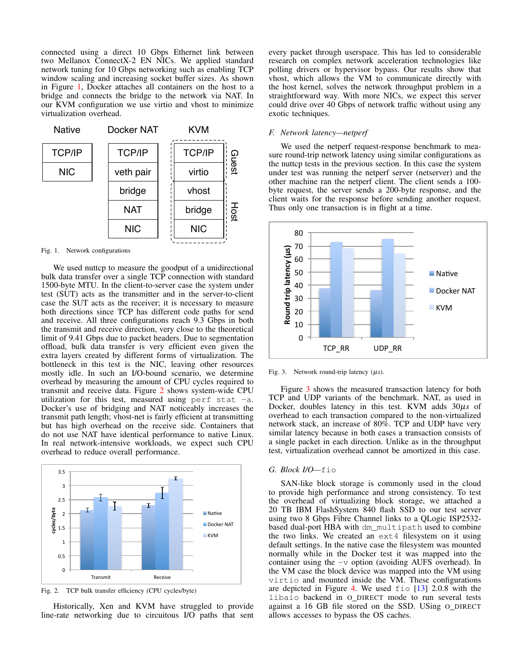connected using a direct 10 Gbps Ethernet link between two Mellanox ConnectX-2 EN NICs. We applied standard network tuning for 10 Gbps networking such as enabling TCP window scaling and increasing socket buffer sizes. As shown in Figure [1,](#page-5-0) Docker attaches all containers on the host to a bridge and connects the bridge to the network via NAT. In our KVM configuration we use virtio and vhost to minimize virtualization overhead.



<span id="page-5-0"></span>Fig. 1. Network configurations

We used nuttcp to measure the goodput of a unidirectional bulk data transfer over a single TCP connection with standard 1500-byte MTU. In the client-to-server case the system under test (SUT) acts as the transmitter and in the server-to-client case the SUT acts as the receiver; it is necessary to measure both directions since TCP has different code paths for send and receive. All three configurations reach 9.3 Gbps in both the transmit and receive direction, very close to the theoretical limit of 9.41 Gbps due to packet headers. Due to segmentation offload, bulk data transfer is very efficient even given the extra layers created by different forms of virtualization. The bottleneck in this test is the NIC, leaving other resources mostly idle. In such an I/O-bound scenario, we determine overhead by measuring the amount of CPU cycles required to transmit and receive data. Figure [2](#page-5-1) shows system-wide CPU utilization for this test, measured using perf stat  $-a$ . Docker's use of bridging and NAT noticeably increases the transmit path length; vhost-net is fairly efficient at transmitting but has high overhead on the receive side. Containers that do not use NAT have identical performance to native Linux. In real network-intensive workloads, we expect such CPU overhead to reduce overall performance.



<span id="page-5-1"></span>Fig. 2. TCP bulk transfer efficiency (CPU cycles/byte)

Historically, Xen and KVM have struggled to provide line-rate networking due to circuitous I/O paths that sent every packet through userspace. This has led to considerable research on complex network acceleration technologies like polling drivers or hypervisor bypass. Our results show that vhost, which allows the VM to communicate directly with the host kernel, solves the network throughput problem in a straightforward way. With more NICs, we expect this server could drive over 40 Gbps of network traffic without using any exotic techniques.

#### *F. Network latency—netperf*

We used the netperf request-response benchmark to measure round-trip network latency using similar configurations as the nuttcp tests in the previous section. In this case the system under test was running the netperf server (netserver) and the other machine ran the netperf client. The client sends a 100 byte request, the server sends a 200-byte response, and the client waits for the response before sending another request. Thus only one transaction is in flight at a time.



<span id="page-5-2"></span>Fig. 3. Network round-trip latency  $(\mu s)$ .

Figure [3](#page-5-2) shows the measured transaction latency for both TCP and UDP variants of the benchmark. NAT, as used in Docker, doubles latency in this test. KVM adds 30µ*s* of overhead to each transaction compared to the non-virtualized network stack, an increase of 80%. TCP and UDP have very similar latency because in both cases a transaction consists of a single packet in each direction. Unlike as in the throughput test, virtualization overhead cannot be amortized in this case.

#### *G. Block I/O—*fio

SAN-like block storage is commonly used in the cloud to provide high performance and strong consistency. To test the overhead of virtualizing block storage, we attached a 20 TB IBM FlashSystem 840 flash SSD to our test server using two 8 Gbps Fibre Channel links to a QLogic ISP2532 based dual-port HBA with dm\_multipath used to combine the two links. We created an  $ext{ext4}$  filesystem on it using default settings. In the native case the filesystem was mounted normally while in the Docker test it was mapped into the container using the  $-v$  option (avoiding AUFS overhead). In the VM case the block device was mapped into the VM using virtio and mounted inside the VM. These configurations are depicted in Figure [4.](#page-6-0) We used fio [\[13\]](#page-10-26) 2.0.8 with the libaio backend in O DIRECT mode to run several tests against a 16 GB file stored on the SSD. USing O DIRECT allows accesses to bypass the OS caches.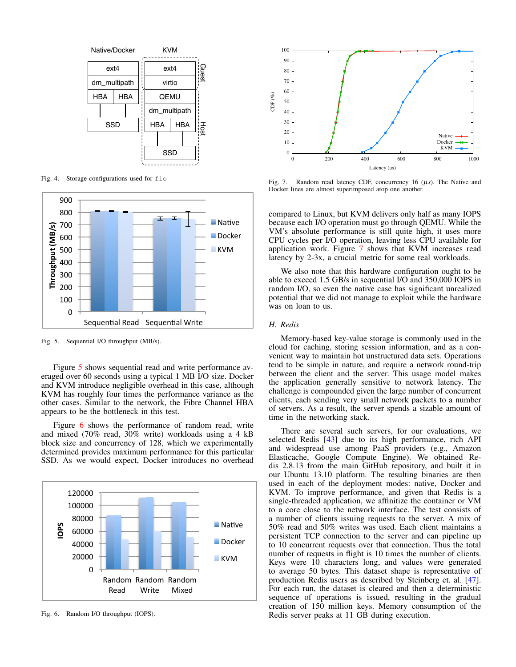

<span id="page-6-0"></span>Fig. 4. Storage configurations used for fio



<span id="page-6-1"></span>Fig. 5. Sequential I/O throughput (MB/s).

Figure [5](#page-6-1) shows sequential read and write performance averaged over 60 seconds using a typical 1 MB I/O size. Docker and KVM introduce negligible overhead in this case, although KVM has roughly four times the performance variance as the other cases. Similar to the network, the Fibre Channel HBA appears to be the bottleneck in this test.

Figure [6](#page-6-2) shows the performance of random read, write and mixed (70% read, 30% write) workloads using a 4 kB block size and concurrency of 128, which we experimentally determined provides maximum performance for this particular SSD. As we would expect, Docker introduces no overhead



<span id="page-6-2"></span>Fig. 6. Random I/O throughput (IOPS).



<span id="page-6-3"></span>Fig. 7. Random read latency CDF, concurrency 16 (µ*s*). The Native and Docker lines are almost superimposed atop one another.

compared to Linux, but KVM delivers only half as many IOPS because each I/O operation must go through QEMU. While the VM's absolute performance is still quite high, it uses more CPU cycles per I/O operation, leaving less CPU available for application work. Figure [7](#page-6-3) shows that KVM increases read latency by 2-3x, a crucial metric for some real workloads.

We also note that this hardware configuration ought to be able to exceed 1.5 GB/s in sequential I/O and 350,000 IOPS in random I/O, so even the native case has significant unrealized potential that we did not manage to exploit while the hardware was on loan to us.

#### *H. Redis*

Memory-based key-value storage is commonly used in the cloud for caching, storing session information, and as a convenient way to maintain hot unstructured data sets. Operations tend to be simple in nature, and require a network round-trip between the client and the server. This usage model makes the application generally sensitive to network latency. The challenge is compounded given the large number of concurrent clients, each sending very small network packets to a number of servers. As a result, the server spends a sizable amount of time in the networking stack.

There are several such servers, for our evaluations, we selected Redis [\[43\]](#page-11-5) due to its high performance, rich API and widespread use among PaaS providers (e.g., Amazon Elasticache, Google Compute Engine). We obtained Redis 2.8.13 from the main GitHub repository, and built it in our Ubuntu 13.10 platform. The resulting binaries are then used in each of the deployment modes: native, Docker and KVM. To improve performance, and given that Redis is a single-threaded application, we affinitize the container or VM to a core close to the network interface. The test consists of a number of clients issuing requests to the server. A mix of 50% read and 50% writes was used. Each client maintains a persistent TCP connection to the server and can pipeline up to 10 concurrent requests over that connection. Thus the total number of requests in flight is 10 times the number of clients. Keys were 10 characters long, and values were generated to average 50 bytes. This dataset shape is representative of production Redis users as described by Steinberg et. al. [\[47\]](#page-11-6). For each run, the dataset is cleared and then a deterministic sequence of operations is issued, resulting in the gradual creation of 150 million keys. Memory consumption of the Redis server peaks at 11 GB during execution.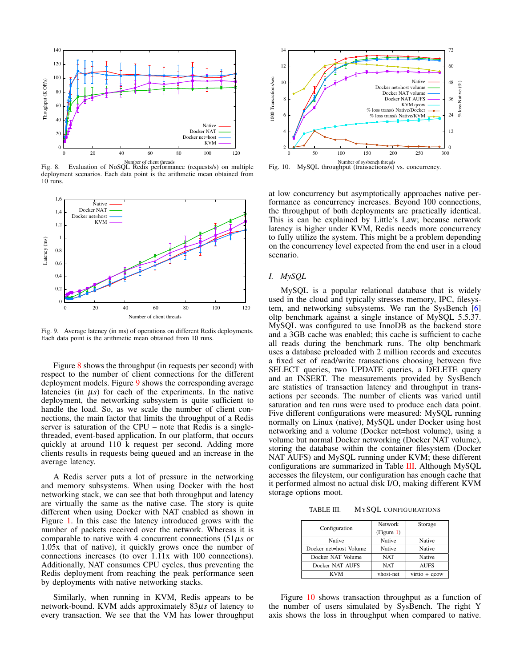

<span id="page-7-0"></span>Number of client threads<br>Fig. 8. Evaluation of NoSQL Redis performance (requests/s) on multiple deployment scenarios. Each data point is the arithmetic mean obtained from 10 runs.



<span id="page-7-1"></span>Fig. 9. Average latency (in ms) of operations on different Redis deployments. Each data point is the arithmetic mean obtained from 10 runs.

Figure [8](#page-7-0) shows the throughput (in requests per second) with respect to the number of client connections for the different deployment models. Figure [9](#page-7-1) shows the corresponding average latencies (in  $\mu s$ ) for each of the experiments. In the native deployment, the networking subsystem is quite sufficient to handle the load. So, as we scale the number of client connections, the main factor that limits the throughput of a Redis server is saturation of the CPU – note that Redis is a singlethreaded, event-based application. In our platform, that occurs quickly at around 110 k request per second. Adding more clients results in requests being queued and an increase in the average latency.

A Redis server puts a lot of pressure in the networking and memory subsystems. When using Docker with the host networking stack, we can see that both throughput and latency are virtually the same as the native case. The story is quite different when using Docker with NAT enabled as shown in Figure [1.](#page-5-0) In this case the latency introduced grows with the number of packets received over the network. Whereas it is comparable to native with 4 concurrent connections (51µ*s* or 1.05x that of native), it quickly grows once the number of connections increases (to over 1.11x with 100 connections). Additionally, NAT consumes CPU cycles, thus preventing the Redis deployment from reaching the peak performance seen by deployments with native networking stacks.

Similarly, when running in KVM, Redis appears to be network-bound. KVM adds approximately 83µ*s* of latency to every transaction. We see that the VM has lower throughput



<span id="page-7-3"></span>Number of sysbench threads<br>Fig. 10. MySQL throughput (transactions/s) vs. concurrency.

at low concurrency but asymptotically approaches native performance as concurrency increases. Beyond 100 connections, the throughput of both deployments are practically identical. This is can be explained by Little's Law; because network latency is higher under KVM, Redis needs more concurrency to fully utilize the system. This might be a problem depending on the concurrency level expected from the end user in a cloud scenario.

#### *I. MySQL*

MySQL is a popular relational database that is widely used in the cloud and typically stresses memory, IPC, filesystem, and networking subsystems. We ran the SysBench [\[6\]](#page-10-27) oltp benchmark against a single instance of MySQL 5.5.37. MySQL was configured to use InnoDB as the backend store and a 3GB cache was enabled; this cache is sufficient to cache all reads during the benchmark runs. The oltp benchmark uses a database preloaded with 2 million records and executes a fixed set of read/write transactions choosing between five SELECT queries, two UPDATE queries, a DELETE query and an INSERT. The measurements provided by SysBench are statistics of transaction latency and throughput in transactions per seconds. The number of clients was varied until saturation and ten runs were used to produce each data point. Five different configurations were measured: MySQL running normally on Linux (native), MySQL under Docker using host networking and a volume (Docker net=host volume), using a volume but normal Docker networking (Docker NAT volume), storing the database within the container filesystem (Docker NAT AUFS) and MySQL running under KVM; these different configurations are summarized in Table [III.](#page-7-2) Although MySQL accesses the fileystem, our configuration has enough cache that it performed almost no actual disk I/O, making different KVM storage options moot.

<span id="page-7-2"></span>TABLE III. MYSQL CONFIGURATIONS

| <b>Network</b><br>Storage<br>Configuration   |  |
|----------------------------------------------|--|
| (Figure 1)                                   |  |
| Native<br>Native<br>Native                   |  |
| Native<br>Native<br>Docker net=host Volume   |  |
| <b>NAT</b><br>Native<br>Docker NAT Volume    |  |
| <b>NAT</b><br>Docker NAT AUFS<br><b>AUFS</b> |  |
| virtio $+$ qcow<br><b>KVM</b><br>vhost-net   |  |

Figure [10](#page-7-3) shows transaction throughput as a function of the number of users simulated by SysBench. The right Y axis shows the loss in throughput when compared to native.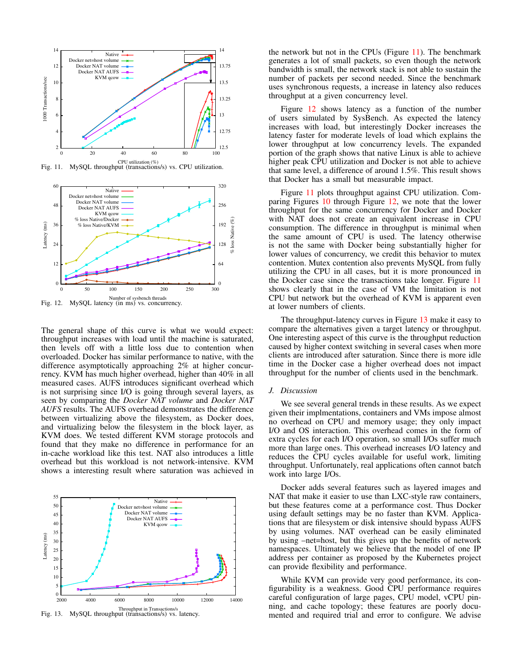

<span id="page-8-0"></span>Fig. 11. MySQL throughput (transactions/s) vs. CPU utilization.



<span id="page-8-1"></span>Number of sysbench threads<br>Fig. 12. MySQL latency (in ms) vs. concurrency.

The general shape of this curve is what we would expect: throughput increases with load until the machine is saturated, then levels off with a little loss due to contention when overloaded. Docker has similar performance to native, with the difference asymptotically approaching 2% at higher concurrency. KVM has much higher overhead, higher than 40% in all measured cases. AUFS introduces significant overhead which is not surprising since I/O is going through several layers, as seen by comparing the *Docker NAT volume* and *Docker NAT AUFS* results. The AUFS overhead demonstrates the difference between virtualizing above the filesystem, as Docker does, and virtualizing below the filesystem in the block layer, as KVM does. We tested different KVM storage protocols and found that they make no difference in performance for an in-cache workload like this test. NAT also introduces a little overhead but this workload is not network-intensive. KVM shows a interesting result where saturation was achieved in



<span id="page-8-2"></span>Fig. 13. MySQL throughput (transactions/s) vs. latency.

the network but not in the CPUs (Figure [11\)](#page-8-0). The benchmark generates a lot of small packets, so even though the network bandwidth is small, the network stack is not able to sustain the number of packets per second needed. Since the benchmark uses synchronous requests, a increase in latency also reduces throughput at a given concurrency level.

Figure [12](#page-8-1) shows latency as a function of the number of users simulated by SysBench. As expected the latency increases with load, but interestingly Docker increases the latency faster for moderate levels of load which explains the lower throughput at low concurrency levels. The expanded portion of the graph shows that native Linux is able to achieve higher peak CPU utilization and Docker is not able to achieve that same level, a difference of around 1.5%. This result shows that Docker has a small but measurable impact.

Figure [11](#page-8-0) plots throughput against CPU utilization. Comparing Figures [10](#page-7-3) through Figure [12,](#page-8-1) we note that the lower throughput for the same concurrency for Docker and Docker with NAT does not create an equivalent increase in CPU consumption. The difference in throughput is minimal when the same amount of CPU is used. The latency otherwise is not the same with Docker being substantially higher for lower values of concurrency, we credit this behavior to mutex contention. Mutex contention also prevents MySQL from fully utilizing the CPU in all cases, but it is more pronounced in the Docker case since the transactions take longer. Figure [11](#page-8-0) shows clearly that in the case of VM the limitation is not CPU but network but the overhead of KVM is apparent even at lower numbers of clients.

The throughput-latency curves in Figure [13](#page-8-2) make it easy to compare the alternatives given a target latency or throughput. One interesting aspect of this curve is the throughput reduction caused by higher context switching in several cases when more clients are introduced after saturation. Since there is more idle time in the Docker case a higher overhead does not impact throughput for the number of clients used in the benchmark.

#### *J. Discussion*

We see several general trends in these results. As we expect given their implmentations, containers and VMs impose almost no overhead on CPU and memory usage; they only impact I/O and OS interaction. This overhead comes in the form of extra cycles for each I/O operation, so small I/Os suffer much more than large ones. This overhead increases I/O latency and reduces the CPU cycles available for useful work, limiting throughput. Unfortunately, real applications often cannot batch work into large I/Os.

Docker adds several features such as layered images and NAT that make it easier to use than LXC-style raw containers, but these features come at a performance cost. Thus Docker using default settings may be no faster than KVM. Applications that are filesystem or disk intensive should bypass AUFS by using volumes. NAT overhead can be easily eliminated by using –net=host, but this gives up the benefits of network namespaces. Ultimately we believe that the model of one IP address per container as proposed by the Kubernetes project can provide flexibility and performance.

While KVM can provide very good performance, its configurability is a weakness. Good CPU performance requires careful configuration of large pages, CPU model, vCPU pinning, and cache topology; these features are poorly documented and required trial and error to configure. We advise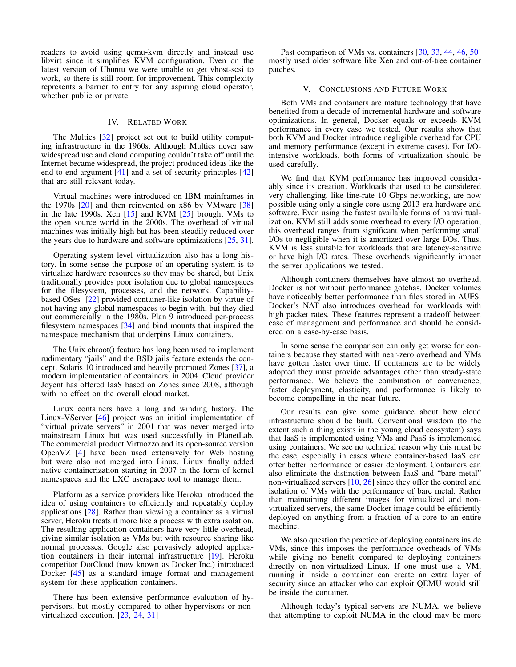readers to avoid using qemu-kvm directly and instead use libvirt since it simplifies KVM configuration. Even on the latest version of Ubuntu we were unable to get vhost-scsi to work, so there is still room for improvement. This complexity represents a barrier to entry for any aspiring cloud operator, whether public or private.

#### IV. RELATED WORK

<span id="page-9-0"></span>The Multics [\[32\]](#page-10-28) project set out to build utility computing infrastructure in the 1960s. Although Multics never saw widespread use and cloud computing couldn't take off until the Internet became widespread, the project produced ideas like the end-to-end argument [\[41\]](#page-10-29) and a set of security principles [\[42\]](#page-11-2) that are still relevant today.

Virtual machines were introduced on IBM mainframes in the 1970s  $[20]$  and then reinvented on x86 by VMware  $[38]$ in the late 1990s. Xen [\[15\]](#page-10-32) and KVM [\[25\]](#page-10-2) brought VMs to the open source world in the 2000s. The overhead of virtual machines was initially high but has been steadily reduced over the years due to hardware and software optimizations [\[25,](#page-10-2) [31\]](#page-10-3).

Operating system level virtualization also has a long history. In some sense the purpose of an operating system is to virtualize hardware resources so they may be shared, but Unix traditionally provides poor isolation due to global namespaces for the filesystem, processes, and the network. Capabilitybased OSes [\[22\]](#page-10-33) provided container-like isolation by virtue of not having any global namespaces to begin with, but they died out commercially in the 1980s. Plan 9 introduced per-process filesystem namespaces [\[34\]](#page-10-4) and bind mounts that inspired the namespace mechanism that underpins Linux containers.

The Unix chroot() feature has long been used to implement rudimentary "jails" and the BSD jails feature extends the concept. Solaris 10 introduced and heavily promoted Zones [\[37\]](#page-10-34), a modern implementation of containers, in 2004. Cloud provider Joyent has offered IaaS based on Zones since 2008, although with no effect on the overall cloud market.

Linux containers have a long and winding history. The Linux-VServer [\[46\]](#page-11-0) project was an initial implementation of "virtual private servers" in 2001 that was never merged into mainstream Linux but was used successfully in PlanetLab. The commercial product Virtuozzo and its open-source version OpenVZ [\[4\]](#page-10-35) have been used extensively for Web hosting but were also not merged into Linux. Linux finally added native containerization starting in 2007 in the form of kernel namespaces and the LXC userspace tool to manage them.

Platform as a service providers like Heroku introduced the idea of using containers to efficiently and repeatably deploy applications [\[28\]](#page-10-36). Rather than viewing a container as a virtual server, Heroku treats it more like a process with extra isolation. The resulting application containers have very little overhead, giving similar isolation as VMs but with resource sharing like normal processes. Google also pervasively adopted application containers in their internal infrastructure [\[19\]](#page-10-13). Heroku competitor DotCloud (now known as Docker Inc.) introduced Docker [\[45\]](#page-11-1) as a standard image format and management system for these application containers.

There has been extensive performance evaluation of hypervisors, but mostly compared to other hypervisors or nonvirtualized execution. [\[23,](#page-10-37) [24,](#page-10-38) [31\]](#page-10-3)

Past comparison of VMs vs. containers [\[30,](#page-10-0) [33,](#page-10-1) [44,](#page-11-7) [46,](#page-11-0) [50\]](#page-11-8) mostly used older software like Xen and out-of-tree container patches.

#### V. CONCLUSIONS AND FUTURE WORK

<span id="page-9-1"></span>Both VMs and containers are mature technology that have benefited from a decade of incremental hardware and software optimizations. In general, Docker equals or exceeds KVM performance in every case we tested. Our results show that both KVM and Docker introduce negligible overhead for CPU and memory performance (except in extreme cases). For I/Ointensive workloads, both forms of virtualization should be used carefully.

We find that KVM performance has improved considerably since its creation. Workloads that used to be considered very challenging, like line-rate 10 Gbps networking, are now possible using only a single core using 2013-era hardware and software. Even using the fastest available forms of paravirtualization, KVM still adds some overhead to every I/O operation; this overhead ranges from significant when performing small I/Os to negligible when it is amortized over large I/Os. Thus, KVM is less suitable for workloads that are latency-sensitive or have high I/O rates. These overheads significantly impact the server applications we tested.

Although containers themselves have almost no overhead, Docker is not without performance gotchas. Docker volumes have noticeably better performance than files stored in AUFS. Docker's NAT also introduces overhead for workloads with high packet rates. These features represent a tradeoff between ease of management and performance and should be considered on a case-by-case basis.

In some sense the comparison can only get worse for containers because they started with near-zero overhead and VMs have gotten faster over time. If containers are to be widely adopted they must provide advantages other than steady-state performance. We believe the combination of convenience, faster deployment, elasticity, and performance is likely to become compelling in the near future.

Our results can give some guidance about how cloud infrastructure should be built. Conventional wisdom (to the extent such a thing exists in the young cloud ecosystem) says that IaaS is implemented using VMs and PaaS is implemented using containers. We see no technical reason why this must be the case, especially in cases where container-based IaaS can offer better performance or easier deployment. Containers can also eliminate the distinction between IaaS and "bare metal" non-virtualized servers [\[10,](#page-10-39) [26\]](#page-10-40) since they offer the control and isolation of VMs with the performance of bare metal. Rather than maintaining different images for virtualized and nonvirtualized servers, the same Docker image could be efficiently deployed on anything from a fraction of a core to an entire machine.

We also question the practice of deploying containers inside VMs, since this imposes the performance overheads of VMs while giving no benefit compared to deploying containers directly on non-virtualized Linux. If one must use a VM, running it inside a container can create an extra layer of security since an attacker who can exploit QEMU would still be inside the container.

Although today's typical servers are NUMA, we believe that attempting to exploit NUMA in the cloud may be more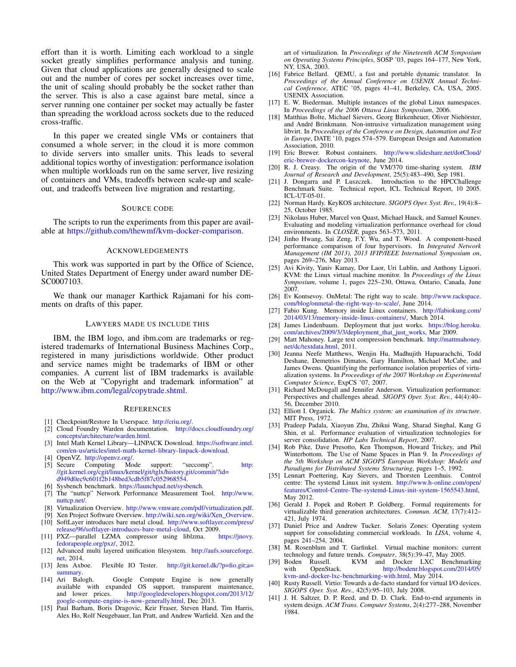effort than it is worth. Limiting each workload to a single socket greatly simplifies performance analysis and tuning. Given that cloud applications are generally designed to scale out and the number of cores per socket increases over time, the unit of scaling should probably be the socket rather than the server. This is also a case against bare metal, since a server running one container per socket may actually be faster than spreading the workload across sockets due to the reduced cross-traffic.

In this paper we created single VMs or containers that consumed a whole server; in the cloud it is more common to divide servers into smaller units. This leads to several additional topics worthy of investigation: performance isolation when multiple workloads run on the same server, live resizing of containers and VMs, tradeoffs between scale-up and scaleout, and tradeoffs between live migration and restarting.

#### SOURCE CODE

The scripts to run the experiments from this paper are available at [https://github.com/thewmf/kvm-docker-comparison.](https://github.com/thewmf/kvm-docker-comparison)

#### ACKNOWLEDGEMENTS

This work was supported in part by the Office of Science, United States Department of Energy under award number DE-SC0007103.

We thank our manager Karthick Rajamani for his comments on drafts of this paper.

#### LAWYERS MADE US INCLUDE THIS

IBM, the IBM logo, and ibm.com are trademarks or registered trademarks of International Business Machines Corp., registered in many jurisdictions worldwide. Other product and service names might be trademarks of IBM or other companies. A current list of IBM trademarks is available on the Web at "Copyright and trademark information" at [http://www.ibm.com/legal/copytrade.shtml.](http://www.ibm.com/legal/copytrade.shtml)

#### **REFERENCES**

- <span id="page-10-20"></span>[1] Checkpoint/Restore In Userspace. [http://criu.org/.](http://criu.org/)
- <span id="page-10-17"></span>[2] Cloud Foundry Warden documentation. [http://docs.cloudfoundry.org/](http://docs.cloudfoundry.org/concepts/architecture/warden.html) [concepts/architecture/warden.html.](http://docs.cloudfoundry.org/concepts/architecture/warden.html)
- <span id="page-10-24"></span>[3] Intel Math Kernel Library—LINPACK Download. [https://software.intel.](https://software.intel.com/en-us/articles/intel-math-kernel-library-linpack-download) [com/en-us/articles/intel-math-kernel-library-linpack-download.](https://software.intel.com/en-us/articles/intel-math-kernel-library-linpack-download)
- <span id="page-10-35"></span>[4] OpenVZ. [http://openvz.org/.](http://openvz.org/)
- <span id="page-10-15"></span>[5] Secure Computing Mode support: "seccomp". [http:](http://git.kernel.org/cgit/linux/kernel/git/tglx/history.git/commit/?id=d949d0ec9c601f2b148bed3cdb5f87c052968554) [//git.kernel.org/cgit/linux/kernel/git/tglx/history.git/commit/?id=](http://git.kernel.org/cgit/linux/kernel/git/tglx/history.git/commit/?id=d949d0ec9c601f2b148bed3cdb5f87c052968554) [d949d0ec9c601f2b148bed3cdb5f87c052968554.](http://git.kernel.org/cgit/linux/kernel/git/tglx/history.git/commit/?id=d949d0ec9c601f2b148bed3cdb5f87c052968554)
- <span id="page-10-27"></span>[6] Sysbench benchmark. [https://launchpad.net/sysbench.](https://launchpad.net/sysbench)
- <span id="page-10-25"></span>[7] The "nuttcp" Network Performance Measurement Tool. [http://www.](http://www.nuttcp.net/) [nuttcp.net/.](http://www.nuttcp.net/)
- <span id="page-10-8"></span>Virtualization Overview. [http://www.vmware.com/pdf/virtualization.pdf.](http://www.vmware.com/pdf/virtualization.pdf)
- <span id="page-10-7"></span>Ken Project Software Overview. [http://wiki.xen.org/wiki/Xen](http://wiki.xen.org/wiki/Xen_Overview)\_Overview.
- <span id="page-10-39"></span>[10] SoftLayer introduces bare metal cloud. [http://www.softlayer.com/press/](http://www.softlayer.com/press/release/96/softlayer-introduces-bare-metal-cloud) [release/96/softlayer-introduces-bare-metal-cloud,](http://www.softlayer.com/press/release/96/softlayer-introduces-bare-metal-cloud) Oct 2009.<br>PXZ—parallel LZMA compressor using liblzma. https://inovy.
- <span id="page-10-21"></span>[11] PXZ—parallel LZMA compressor using liblzma. [fedorapeople.org/pxz/,](https://jnovy.fedorapeople.org/pxz/) 2012.
- <span id="page-10-18"></span>[12] Advanced multi layered unification filesystem. [http://aufs.sourceforge.](http://aufs.sourceforge.net) [net,](http://aufs.sourceforge.net) 2014.<br>[13] Jens Axboe.
- <span id="page-10-26"></span>Flexible IO Tester. [http://git.kernel.dk/?p=fio.git;a=](http://git.kernel.dk/?p=fio.git;a=summary) [summary.](http://git.kernel.dk/?p=fio.git;a=summary)<br>[14] Ari Balogh.
- <span id="page-10-11"></span>Google Compute Engine is now generally available with expanded OS support, transparent maintenance, and lower prices. http://googledevelopers.blogspot.com/2013/12/ [http://googledevelopers.blogspot.com/2013/12/](http://googledevelopers.blogspot.com/2013/12/google-compute-engine-is-now-generally.html) [google-compute-engine-is-now-generally.html,](http://googledevelopers.blogspot.com/2013/12/google-compute-engine-is-now-generally.html) Dec 2013.
- <span id="page-10-32"></span>[15] Paul Barham, Boris Dragovic, Keir Fraser, Steven Hand, Tim Harris, Alex Ho, Rolf Neugebauer, Ian Pratt, and Andrew Warfield. Xen and the

art of virtualization. In *Proceedings of the Nineteenth ACM Symposium on Operating Systems Principles*, SOSP '03, pages 164–177, New York, NY, USA, 2003.

- <span id="page-10-9"></span>[16] Fabrice Bellard. QEMU, a fast and portable dynamic translator. In *Proceedings of the Annual Conference on USENIX Annual Technical Conference*, ATEC '05, pages 41–41, Berkeley, CA, USA, 2005. USENIX Association.
- <span id="page-10-5"></span>[17] E. W. Biederman. Multiple instances of the global Linux namespaces. In *Proceedings of the 2006 Ottawa Linux Symposium*, 2006.
- <span id="page-10-12"></span>[18] Matthias Bolte, Michael Sievers, Georg Birkenheuer, Oliver Niehörster, and André Brinkmann. Non-intrusive virtualization management using libvirt. In *Proceedings of the Conference on Design, Automation and Test in Europe*, DATE '10, pages 574–579. European Design and Automation Association, 2010.
- <span id="page-10-13"></span>[19] Eric Brewer. Robust containers. [http://www.slideshare.net/dotCloud/](http://www.slideshare.net/dotCloud/eric-brewer-dockercon-keynote) [eric-brewer-dockercon-keynote,](http://www.slideshare.net/dotCloud/eric-brewer-dockercon-keynote) June 2014.
- <span id="page-10-30"></span>[20] R. J. Creasy. The origin of the VM/370 time-sharing system. *IBM Journal of Research and Development*, 25(5):483–490, Sep 1981.
- <span id="page-10-23"></span>[21] J. Dongarra and P. Luszczek. Introduction to the HPCChallenge Benchmark Suite. Technical report, ICL Technical Report, 10 2005. ICL-UT-05-01.
- <span id="page-10-33"></span>[22] Norman Hardy. KeyKOS architecture. *SIGOPS Oper. Syst. Rev.*, 19(4):8– 25, October 1985.
- <span id="page-10-37"></span>[23] Nikolaus Huber, Marcel von Quast, Michael Hauck, and Samuel Kounev. Evaluating and modeling virtualization performance overhead for cloud environments. In *CLOSER*, pages 563–573, 2011.
- <span id="page-10-38"></span>[24] Jinho Hwang, Sai Zeng, F.Y. Wu, and T. Wood. A component-based performance comparison of four hypervisors. In *Integrated Network Management (IM 2013), 2013 IFIP/IEEE International Symposium on*, pages 269–276, May 2013.
- <span id="page-10-2"></span>[25] Avi Kivity, Yaniv Kamay, Dor Laor, Uri Lublin, and Anthony Liguori. KVM: the Linux virtual machine monitor. In *Proceedings of the Linux Symposium*, volume 1, pages 225–230, Ottawa, Ontario, Canada, June 2007.
- <span id="page-10-40"></span>[26] Ev Kontsevoy. OnMetal: The right way to scale. [http://www.rackspace.](http://www.rackspace.com/blog/onmetal-the-right-way-to-scale/) [com/blog/onmetal-the-right-way-to-scale/,](http://www.rackspace.com/blog/onmetal-the-right-way-to-scale/) June 2014.
- <span id="page-10-14"></span>[27] Fabio Kung. Memory inside Linux containers. [http://fabiokung.com/](http://fabiokung.com/2014/03/13/memory-inside-linux-containers/) [2014/03/13/memory-inside-linux-containers/,](http://fabiokung.com/2014/03/13/memory-inside-linux-containers/) March 2014.
- <span id="page-10-36"></span>[28] James Lindenbaum. Deployment that just works. [https://blog.heroku.](https://blog.heroku.com/archives/2009/3/3/deployment_that_just_works) [com/archives/2009/3/3/deployment](https://blog.heroku.com/archives/2009/3/3/deployment_that_just_works)\_that\_just\_works, Mar 2009.
- <span id="page-10-22"></span>[29] Matt Mahoney. Large text compression benchmark. [http://mattmahoney.](http://mattmahoney.net/dc/textdata.html) [net/dc/textdata.html,](http://mattmahoney.net/dc/textdata.html) 2011.
- <span id="page-10-0"></span>[30] Jeanna Neefe Matthews, Wenjin Hu, Madhujith Hapuarachchi, Todd Deshane, Demetrios Dimatos, Gary Hamilton, Michael McCabe, and James Owens. Quantifying the performance isolation properties of virtualization systems. In *Proceedings of the 2007 Workshop on Experimental Computer Science*, ExpCS '07, 2007.
- <span id="page-10-3"></span>[31] Richard McDougall and Jennifer Anderson. Virtualization performance: Perspectives and challenges ahead. *SIGOPS Oper. Syst. Rev.*, 44(4):40– 56, December 2010.
- <span id="page-10-28"></span>[32] Elliott I. Organick. *The Multics system: an examination of its structure*. MIT Press, 1972.
- <span id="page-10-1"></span>[33] Pradeep Padala, Xiaoyun Zhu, Zhikui Wang, Sharad Singhal, Kang G Shin, et al. Performance evaluation of virtualization technologies for server consolidation. *HP Labs Technical Report*, 2007.
- <span id="page-10-4"></span>[34] Rob Pike, Dave Presotto, Ken Thompson, Howard Trickey, and Phil Winterbottom. The Use of Name Spaces in Plan 9. In *Proceedings of the 5th Workshop on ACM SIGOPS European Workshop: Models and Paradigms for Distributed Systems Structuring*, pages 1–5, 1992.
- <span id="page-10-16"></span>[35] Lennart Poettering, Kay Sievers, and Thorsten Leemhuis. Control centre: The systemd Linux init system. [http://www.h-online.com/open/](http://www.h-online.com/open/features/Control-Centre-The-systemd-Linux-init-system-1565543.html) [features/Control-Centre-The-systemd-Linux-init-system-1565543.html,](http://www.h-online.com/open/features/Control-Centre-The-systemd-Linux-init-system-1565543.html) May 2012.
- <span id="page-10-6"></span>[36] Gerald J. Popek and Robert P. Goldberg. Formal requirements for virtualizable third generation architectures. *Commun. ACM*, 17(7):412– 421, July 1974.
- <span id="page-10-34"></span>[37] Daniel Price and Andrew Tucker. Solaris Zones: Operating system support for consolidating commercial workloads. In *LISA*, volume 4, pages 241–254, 2004.
- <span id="page-10-31"></span>[38] M. Rosenblum and T. Garfinkel. Virtual machine monitors: current technology and future trends. *Computer*, 38(5):39–47, May 2005.<br>[39] Boden Russell. **KVM** and Docker LXC Benchma
- <span id="page-10-19"></span>Boden Russell. KVM and Docker LXC Benchmarking<br>with OpenStack. http://bodenr.blogspot.com/2014/05/ [http://bodenr.blogspot.com/2014/05/](http://bodenr.blogspot.com/2014/05/kvm-and-docker-lxc-benchmarking-with.html) [kvm-and-docker-lxc-benchmarking-with.html,](http://bodenr.blogspot.com/2014/05/kvm-and-docker-lxc-benchmarking-with.html) May 2014.
- <span id="page-10-10"></span>[40] Rusty Russell. Virtio: Towards a de-facto standard for virtual I/O devices. *SIGOPS Oper. Syst. Rev.*, 42(5):95–103, July 2008.
- <span id="page-10-29"></span>[41] J. H. Saltzer, D. P. Reed, and D. D. Clark. End-to-end arguments in system design. *ACM Trans. Computer Systems*, 2(4):277–288, November 1984.